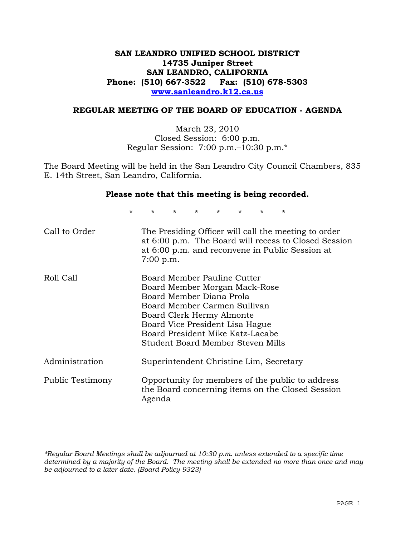# **SAN LEANDRO UNIFIED SCHOOL DISTRICT 14735 Juniper Street SAN LEANDRO, CALIFORNIA Phone: (510) 667-3522 Fax: (510) 678-5303 www.sanleandro.k12.ca.us**

## **REGULAR MEETING OF THE BOARD OF EDUCATION - AGENDA**

March 23, 2010 Closed Session: 6:00 p.m. Regular Session: 7:00 p.m.–10:30 p.m.\*

The Board Meeting will be held in the San Leandro City Council Chambers, 835 E. 14th Street, San Leandro, California.

## **Please note that this meeting is being recorded.**

\* \* \* \* \* \* \* \*

| Call to Order    | The Presiding Officer will call the meeting to order<br>at 6:00 p.m. The Board will recess to Closed Session<br>at 6:00 p.m. and reconvene in Public Session at<br>$7:00$ p.m.                                                                                    |
|------------------|-------------------------------------------------------------------------------------------------------------------------------------------------------------------------------------------------------------------------------------------------------------------|
| Roll Call        | Board Member Pauline Cutter<br>Board Member Morgan Mack-Rose<br>Board Member Diana Prola<br>Board Member Carmen Sullivan<br>Board Clerk Hermy Almonte<br>Board Vice President Lisa Hague<br>Board President Mike Katz-Lacabe<br>Student Board Member Steven Mills |
| Administration   | Superintendent Christine Lim, Secretary                                                                                                                                                                                                                           |
| Public Testimony | Opportunity for members of the public to address<br>the Board concerning items on the Closed Session<br>Agenda                                                                                                                                                    |

*\*Regular Board Meetings shall be adjourned at 10:30 p.m. unless extended to a specific time determined by a majority of the Board. The meeting shall be extended no more than once and may be adjourned to a later date. (Board Policy 9323)*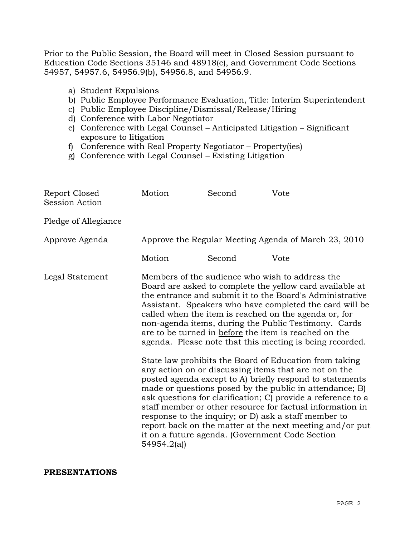Prior to the Public Session, the Board will meet in Closed Session pursuant to Education Code Sections 35146 and 48918(c), and Government Code Sections 54957, 54957.6, 54956.9(b), 54956.8, and 54956.9.

- a) Student Expulsions
- b) Public Employee Performance Evaluation, Title: Interim Superintendent
- c) Public Employee Discipline/Dismissal/Release/Hiring
- d) Conference with Labor Negotiator
- e) Conference with Legal Counsel Anticipated Litigation Significant exposure to litigation
- f) Conference with Real Property Negotiator Property(ies)
- g) Conference with Legal Counsel Existing Litigation

| Report Closed<br><b>Session Action</b> |            | Motion __________ Second __________ Vote ________ |                                                                                                                                                                                                                                                                                                                                                                                                                                                                                                                                                                                                                                                                                                                                                                                                                                                                                                                                                                                                                        |
|----------------------------------------|------------|---------------------------------------------------|------------------------------------------------------------------------------------------------------------------------------------------------------------------------------------------------------------------------------------------------------------------------------------------------------------------------------------------------------------------------------------------------------------------------------------------------------------------------------------------------------------------------------------------------------------------------------------------------------------------------------------------------------------------------------------------------------------------------------------------------------------------------------------------------------------------------------------------------------------------------------------------------------------------------------------------------------------------------------------------------------------------------|
| Pledge of Allegiance                   |            |                                                   |                                                                                                                                                                                                                                                                                                                                                                                                                                                                                                                                                                                                                                                                                                                                                                                                                                                                                                                                                                                                                        |
| Approve Agenda                         |            |                                                   | Approve the Regular Meeting Agenda of March 23, 2010                                                                                                                                                                                                                                                                                                                                                                                                                                                                                                                                                                                                                                                                                                                                                                                                                                                                                                                                                                   |
|                                        |            | Motion __________ Second __________ Vote ________ |                                                                                                                                                                                                                                                                                                                                                                                                                                                                                                                                                                                                                                                                                                                                                                                                                                                                                                                                                                                                                        |
| Legal Statement                        | 54954.2(a) |                                                   | Members of the audience who wish to address the<br>Board are asked to complete the yellow card available at<br>the entrance and submit it to the Board's Administrative<br>Assistant. Speakers who have completed the card will be<br>called when the item is reached on the agenda or, for<br>non-agenda items, during the Public Testimony. Cards<br>are to be turned in before the item is reached on the<br>agenda. Please note that this meeting is being recorded.<br>State law prohibits the Board of Education from taking<br>any action on or discussing items that are not on the<br>posted agenda except to A) briefly respond to statements<br>made or questions posed by the public in attendance; B)<br>ask questions for clarification; C) provide a reference to a<br>staff member or other resource for factual information in<br>response to the inquiry; or D) ask a staff member to<br>report back on the matter at the next meeting and/or put<br>it on a future agenda. (Government Code Section |

## **PRESENTATIONS**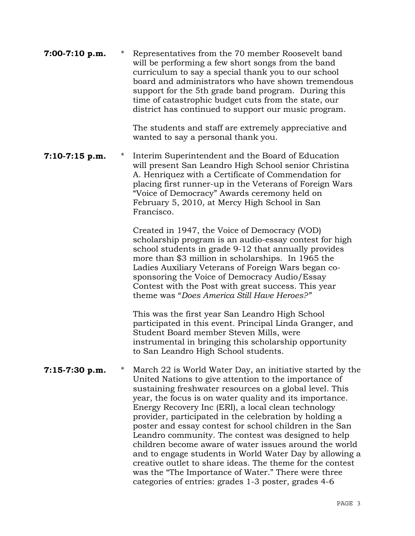| $7:00-7:10$ p.m. | $\star$ | Representatives from the 70 member Roosevelt band<br>will be performing a few short songs from the band<br>curriculum to say a special thank you to our school<br>board and administrators who have shown tremendous<br>support for the 5th grade band program. During this<br>time of catastrophic budget cuts from the state, our<br>district has continued to support our music program. |
|------------------|---------|---------------------------------------------------------------------------------------------------------------------------------------------------------------------------------------------------------------------------------------------------------------------------------------------------------------------------------------------------------------------------------------------|
|                  |         | The students and staff and extremedy annuaciative and                                                                                                                                                                                                                                                                                                                                       |

 The students and staff are extremely appreciative and wanted to say a personal thank you.

**7:10-7:15 p.m.** \* Interim Superintendent and the Board of Education will present San Leandro High School senior Christina A. Henriquez with a Certificate of Commendation for placing first runner-up in the Veterans of Foreign Wars "Voice of Democracy" Awards ceremony held on February 5, 2010, at Mercy High School in San Francisco.

> Created in 1947, the Voice of Democracy (VOD) scholarship program is an audio-essay contest for high school students in grade 9-12 that annually provides more than \$3 million in scholarships. In 1965 the Ladies Auxiliary Veterans of Foreign Wars began cosponsoring the Voice of Democracy Audio/Essay Contest with the Post with great success. This year theme was "*Does America Still Have Heroes?"*

> This was the first year San Leandro High School participated in this event. Principal Linda Granger, and Student Board member Steven Mills, were instrumental in bringing this scholarship opportunity to San Leandro High School students.

**7:15-7:30 p.m.** \* March 22 is World Water Day, an initiative started by the United Nations to give attention to the importance of sustaining freshwater resources on a global level. This year, the focus is on water quality and its importance. Energy Recovery Inc (ERI), a local clean technology provider, participated in the celebration by holding a poster and essay contest for school children in the San Leandro community. The contest was designed to help children become aware of water issues around the world and to engage students in World Water Day by allowing a creative outlet to share ideas. The theme for the contest was the "The Importance of Water." There were three categories of entries: grades 1-3 poster, grades 4-6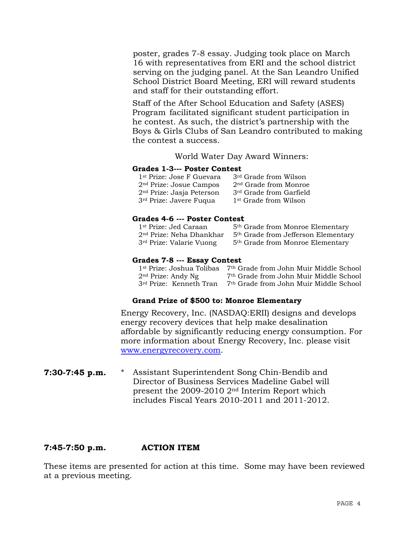poster, grades 7-8 essay. Judging took place on March 16 with representatives from ERI and the school district serving on the judging panel. At the San Leandro Unified School District Board Meeting, ERI will reward students and staff for their outstanding effort.

 Staff of the After School Education and Safety (ASES) Program facilitated significant student participation in he contest. As such, the district's partnership with the Boys & Girls Clubs of San Leandro contributed to making the contest a success.

World Water Day Award Winners:

## **Grades 1-3--- Poster Contest**

| 1 <sup>st</sup> Prize: Jose F Guevara | 3rd Grade from Wilson               |
|---------------------------------------|-------------------------------------|
| 2 <sup>nd</sup> Prize: Josue Campos   | 2 <sup>nd</sup> Grade from Monroe   |
| $2nd$ Prize: Jasja Peterson           | 3 <sup>rd</sup> Grade from Garfield |
| 3 <sup>rd</sup> Prize: Javere Fuqua   | 1 <sup>st</sup> Grade from Wilson   |

## **Grades 4-6 --- Poster Contest**

| 1st Prize: Jed Caraan                | 5 <sup>th</sup> Grade from Monroe Elementary    |
|--------------------------------------|-------------------------------------------------|
| 2 <sup>nd</sup> Prize: Neha Dhankhar | 5 <sup>th</sup> Grade from Jefferson Elementary |
| 3 <sup>rd</sup> Prize: Valarie Vuong | 5 <sup>th</sup> Grade from Monroe Elementary    |

### **Grades 7-8 --- Essay Contest**

| 1 <sup>st</sup> Prize: Joshua Tolibas | 7 <sup>th</sup> Grade from John Muir Middle School |
|---------------------------------------|----------------------------------------------------|
| $2nd$ Prize: Andy Ng                  | 7 <sup>th</sup> Grade from John Muir Middle School |
| 3 <sup>rd</sup> Prize: Kenneth Tran   | 7 <sup>th</sup> Grade from John Muir Middle School |

## **Grand Prize of \$500 to: Monroe Elementary**

Energy Recovery, Inc. (NASDAQ:ERII) designs and develops energy recovery devices that help make desalination affordable by significantly reducing energy consumption. For more information about Energy Recovery, Inc. please visit [www.energyrecovery.com.](http://www.energyrecovery.com/)

**7:30-7:45 p.m.** \* Assistant Superintendent Song Chin-Bendib and Director of Business Services Madeline Gabel will present the 2009-2010 2nd Interim Report which includes Fiscal Years 2010-2011 and 2011-2012.

# **7:45-7:50 p.m. ACTION ITEM**

These items are presented for action at this time. Some may have been reviewed at a previous meeting.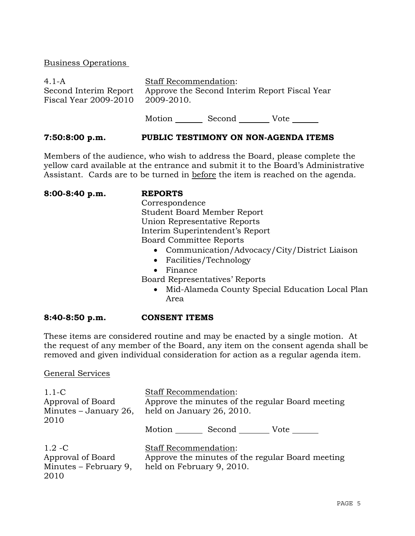## Business Operations

| $4.1 - A$                                      | <b>Staff Recommendation:</b> |                                               |      |  |
|------------------------------------------------|------------------------------|-----------------------------------------------|------|--|
| Second Interim Report<br>Fiscal Year 2009-2010 | 2009-2010.                   | Approve the Second Interim Report Fiscal Year |      |  |
|                                                | Motion                       | Second                                        | Vote |  |

## **7:50:8:00 p.m. PUBLIC TESTIMONY ON NON-AGENDA ITEMS**

Members of the audience, who wish to address the Board, please complete the yellow card available at the entrance and submit it to the Board's Administrative Assistant. Cards are to be turned in before the item is reached on the agenda.

**8:00-8:40 p.m. REPORTS**

 Correspondence Student Board Member Report Union Representative Reports Interim Superintendent's Report Board Committee Reports

- Communication/Advocacy/City/District Liaison
- Facilities/Technology
- Finance

Board Representatives' Reports

• Mid-Alameda County Special Education Local Plan Area

## **8:40-8:50 p.m. CONSENT ITEMS**

These items are considered routine and may be enacted by a single motion. At the request of any member of the Board, any item on the consent agenda shall be removed and given individual consideration for action as a regular agenda item.

General Services

| $1.1-C$<br>Approval of Board<br>Minutes $-$ January 26,<br>2010 | <b>Staff Recommendation:</b><br>Approve the minutes of the regular Board meeting<br>held on January 26, 2010. |  |  |
|-----------------------------------------------------------------|---------------------------------------------------------------------------------------------------------------|--|--|
|                                                                 | Motion<br>Second<br>Vote                                                                                      |  |  |
| $1.2 - C$<br>Approval of Board<br>Minutes – February 9,<br>2010 | <b>Staff Recommendation:</b><br>Approve the minutes of the regular Board meeting<br>held on February 9, 2010. |  |  |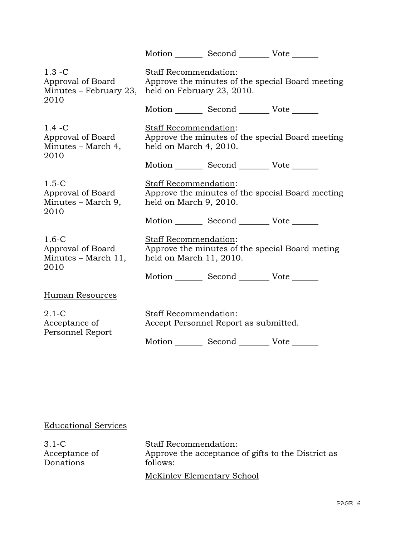|                                                                  |                                                                                                         | Motion Second Vote                              |                                                  |  |
|------------------------------------------------------------------|---------------------------------------------------------------------------------------------------------|-------------------------------------------------|--------------------------------------------------|--|
| $1.3 - C$<br>Approval of Board<br>Minutes – February 23,<br>2010 | Staff Recommendation:<br>Approve the minutes of the special Board meeting<br>held on February 23, 2010. |                                                 |                                                  |  |
|                                                                  |                                                                                                         | Motion _________ Second __________ Vote _______ |                                                  |  |
| $1.4 - C$<br>Approval of Board<br>Minutes - March 4,<br>2010     | <b>Staff Recommendation:</b><br>held on March 4, 2010.                                                  |                                                 | Approve the minutes of the special Board meeting |  |
|                                                                  |                                                                                                         | Motion _________ Second __________ Vote _______ |                                                  |  |
| $1.5-C$<br>Approval of Board<br>Minutes – March 9,<br>2010       | Staff Recommendation:<br>Approve the minutes of the special Board meeting<br>held on March 9, 2010.     |                                                 |                                                  |  |
|                                                                  |                                                                                                         | Motion _________ Second _________ Vote _______  |                                                  |  |
| $1.6-C$<br>Approval of Board<br>Minutes – March 11,<br>2010      | Staff Recommendation:<br>held on March 11, 2010.                                                        |                                                 | Approve the minutes of the special Board meting  |  |
|                                                                  |                                                                                                         | Motion _________ Second __________ Vote _______ |                                                  |  |
| Human Resources                                                  |                                                                                                         |                                                 |                                                  |  |
| $2.1 - C$<br>Acceptance of<br>Personnel Report                   | Staff Recommendation:                                                                                   | Accept Personnel Report as submitted.           |                                                  |  |
|                                                                  |                                                                                                         | Motion _________ Second __________ Vote _______ |                                                  |  |

# Educational Services

| 3.1-C         | <b>Staff Recommendation:</b>                       |
|---------------|----------------------------------------------------|
| Acceptance of | Approve the acceptance of gifts to the District as |
| Donations     | follows:                                           |
|               | McKinley Elementary School                         |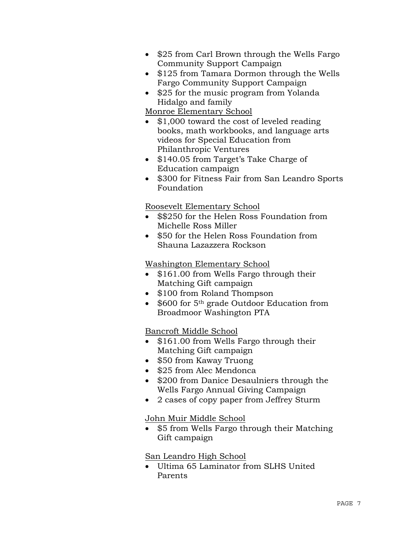- \$25 from Carl Brown through the Wells Fargo Community Support Campaign
- \$125 from Tamara Dormon through the Wells Fargo Community Support Campaign
- \$25 for the music program from Yolanda Hidalgo and family

# Monroe Elementary School

- \$1,000 toward the cost of leveled reading books, math workbooks, and language arts videos for Special Education from Philanthropic Ventures
- \$140.05 from Target's Take Charge of Education campaign
- \$300 for Fitness Fair from San Leandro Sports Foundation

# Roosevelt Elementary School

- \$\$250 for the Helen Ross Foundation from Michelle Ross Miller
- \$50 for the Helen Ross Foundation from Shauna Lazazzera Rockson

# Washington Elementary School

- \$161.00 from Wells Fargo through their Matching Gift campaign
- \$100 from Roland Thompson
- \$600 for 5<sup>th</sup> grade Outdoor Education from Broadmoor Washington PTA

# Bancroft Middle School

- \$161.00 from Wells Fargo through their Matching Gift campaign
- \$50 from Kaway Truong
- \$25 from Alec Mendonca
- \$200 from Danice Desaulniers through the Wells Fargo Annual Giving Campaign
- 2 cases of copy paper from Jeffrey Sturm

# John Muir Middle School

• \$5 from Wells Fargo through their Matching Gift campaign

# San Leandro High School

• Ultima 65 Laminator from SLHS United Parents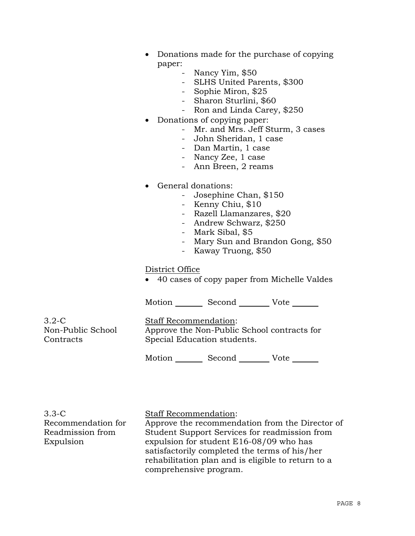- Donations made for the purchase of copying paper:
	- Nancy Yim, \$50
	- SLHS United Parents, \$300
	- Sophie Miron, \$25
	- Sharon Sturlini, \$60
	- Ron and Linda Carey, \$250
- Donations of copying paper:
	- Mr. and Mrs. Jeff Sturm, 3 cases
	- John Sheridan, 1 case
	- Dan Martin, 1 case
	- Nancy Zee, 1 case
	- Ann Breen, 2 reams
- General donations:
	- Josephine Chan, \$150
	- Kenny Chiu, \$10
	- Razell Llamanzares, \$20
	- Andrew Schwarz, \$250
	- Mark Sibal, \$5
	- Mary Sun and Brandon Gong, \$50
	- Kaway Truong, \$50

### District Office

• 40 cases of copy paper from Michelle Valdes

Motion Second Vote

3.2-C Non-Public School **Contracts** 

Staff Recommendation: Approve the Non-Public School contracts for Special Education students.

Motion Second Vote

| $3.3 - C$          |
|--------------------|
| Recommendation for |
| Readmission from   |
| Expulsion          |

Staff Recommendation:

Approve the recommendation from the Director of Student Support Services for readmission from expulsion for student E16-08/09 who has satisfactorily completed the terms of his/her rehabilitation plan and is eligible to return to a comprehensive program.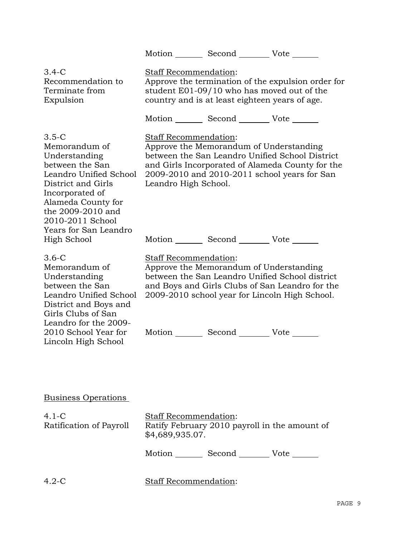|                                                                                                                                                                                                                         | Motion Second Vote                                                                                                                       |             |                                                                                                     |
|-------------------------------------------------------------------------------------------------------------------------------------------------------------------------------------------------------------------------|------------------------------------------------------------------------------------------------------------------------------------------|-------------|-----------------------------------------------------------------------------------------------------|
| $3.4-C$<br>Recommendation to<br>Terminate from<br>Expulsion                                                                                                                                                             | Staff Recommendation:<br>student E01-09/10 who has moved out of the<br>country and is at least eighteen years of age.                    |             | Approve the termination of the expulsion order for                                                  |
|                                                                                                                                                                                                                         | Motion _________ Second __________ Vote _______                                                                                          |             |                                                                                                     |
| $3.5-C$<br>Memorandum of<br>Understanding<br>between the San<br>Leandro Unified School<br>District and Girls<br>Incorporated of<br>Alameda County for<br>the 2009-2010 and<br>2010-2011 School<br>Years for San Leandro | Staff Recommendation:<br>Approve the Memorandum of Understanding<br>2009-2010 and 2010-2011 school years for San<br>Leandro High School. |             | between the San Leandro Unified School District<br>and Girls Incorporated of Alameda County for the |
| High School                                                                                                                                                                                                             | Motion _________ Second __________ Vote _______                                                                                          |             |                                                                                                     |
| $3.6-C$<br>Memorandum of<br>Understanding<br>between the San<br>Leandro Unified School<br>District and Boys and<br>Girls Clubs of San<br>Leandro for the 2009-                                                          | Staff Recommendation:<br>Approve the Memorandum of Understanding<br>2009-2010 school year for Lincoln High School.                       |             | between the San Leandro Unified School district<br>and Boys and Girls Clubs of San Leandro for the  |
| 2010 School Year for<br>Lincoln High School                                                                                                                                                                             | Motion                                                                                                                                   | Second Vote |                                                                                                     |
| <b>Business Operations</b>                                                                                                                                                                                              |                                                                                                                                          |             |                                                                                                     |
| $4.1 - C$<br>Ratification of Payroll                                                                                                                                                                                    | Staff Recommendation:<br>Ratify February 2010 payroll in the amount of<br>\$4,689,935.07.                                                |             |                                                                                                     |

Motion \_\_\_\_\_\_\_\_ Second \_\_\_\_\_\_\_\_\_ Vote \_\_\_\_\_\_\_

| <b>Staff Recommendation:</b><br>$4.2 - C$ |
|-------------------------------------------|
|-------------------------------------------|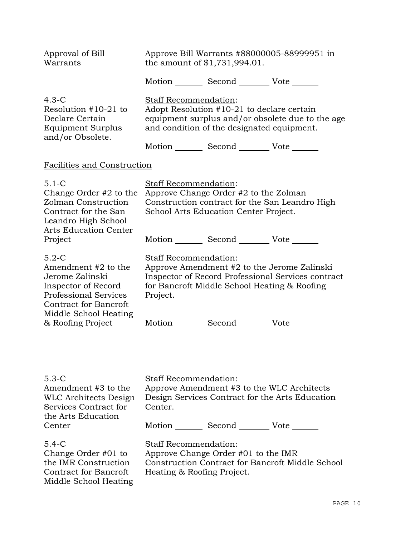| Approval of Bill<br>Warrants                                                                                                                                                           | Approve Bill Warrants #88000005-88999951 in<br>the amount of $$1,731,994.01$ .                                                                                                         |
|----------------------------------------------------------------------------------------------------------------------------------------------------------------------------------------|----------------------------------------------------------------------------------------------------------------------------------------------------------------------------------------|
|                                                                                                                                                                                        | Motion _________ Second __________ Vote _______                                                                                                                                        |
| $4.3-C$<br>Resolution $#10-21$ to<br>Declare Certain<br>Equipment Surplus<br>and/or Obsolete.                                                                                          | Staff Recommendation:<br>Adopt Resolution #10-21 to declare certain<br>equipment surplus and/or obsolete due to the age<br>and condition of the designated equipment.                  |
|                                                                                                                                                                                        | Motion _________ Second ___________ Vote _______                                                                                                                                       |
| Facilities and Construction                                                                                                                                                            |                                                                                                                                                                                        |
| $5.1 - C$<br>Change Order #2 to the<br>Zolman Construction<br>Contract for the San<br>Leandro High School<br><b>Arts Education Center</b><br>Project                                   | Staff Recommendation:<br>Approve Change Order #2 to the Zolman<br>Construction contract for the San Leandro High<br>School Arts Education Center Project.                              |
|                                                                                                                                                                                        | Motion _________ Second _________ Vote _______                                                                                                                                         |
| $5.2-C$<br>Amendment #2 to the<br>Jerome Zalinski<br>Inspector of Record<br><b>Professional Services</b><br><b>Contract for Bancroft</b><br>Middle School Heating<br>& Roofing Project | Staff Recommendation:<br>Approve Amendment #2 to the Jerome Zalinski<br>Inspector of Record Professional Services contract<br>for Bancroft Middle School Heating & Roofing<br>Project. |
|                                                                                                                                                                                        | Motion _________ Second __________ Vote _______                                                                                                                                        |
| $5.3 - C$<br>Amendment #3 to the<br><b>WLC Architects Design</b><br>Services Contract for<br>the Arts Education<br>Center                                                              | Staff Recommendation:<br>Approve Amendment #3 to the WLC Architects<br>Design Services Contract for the Arts Education<br>Center.                                                      |
|                                                                                                                                                                                        | Motion _________ Second __________ Vote _______                                                                                                                                        |
| $5.4 - C$<br>Change Order #01 to<br>the IMR Construction<br><b>Contract for Bancroft</b><br>Middle School Heating                                                                      | Staff Recommendation:<br>Approve Change Order #01 to the IMR<br>Construction Contract for Bancroft Middle School<br>Heating & Roofing Project.                                         |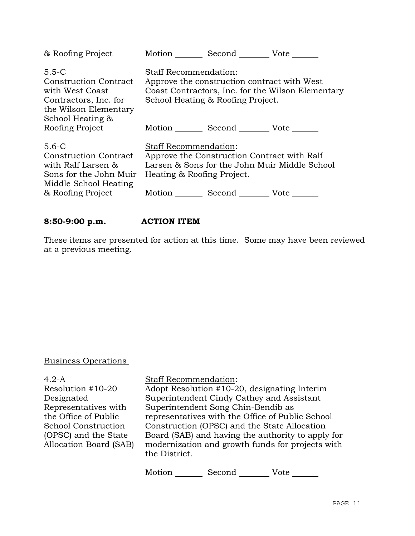| & Roofing Project                                                                                                                       | Motion<br>Second Vote                                                                                                                                                               |
|-----------------------------------------------------------------------------------------------------------------------------------------|-------------------------------------------------------------------------------------------------------------------------------------------------------------------------------------|
| $5.5 - C$<br>Construction Contract<br>with West Coast<br>Contractors, Inc. for<br>the Wilson Elementary                                 | <b>Staff Recommendation:</b><br>Approve the construction contract with West<br>Coast Contractors, Inc. for the Wilson Elementary<br>School Heating & Roofing Project.               |
| School Heating &<br>Roofing Project                                                                                                     | Motion Second Vote                                                                                                                                                                  |
| $5.6 - C$<br><b>Construction Contract</b><br>with Ralf Larsen &<br>Sons for the John Muir<br>Middle School Heating<br>& Roofing Project | <b>Staff Recommendation:</b><br>Approve the Construction Contract with Ralf<br>Larsen & Sons for the John Muir Middle School<br>Heating & Roofing Project.<br>Motion<br>Second Vote |

# **8:50-9:00 p.m. ACTION ITEM**

These items are presented for action at this time. Some may have been reviewed at a previous meeting.

# Business Operations

4.2-A Resolution #10-20 Designated Representatives with the Office of Public School Construction (OPSC) and the State Allocation Board (SAB) Staff Recommendation:

Adopt Resolution #10-20, designating Interim Superintendent Cindy Cathey and Assistant Superintendent Song Chin-Bendib as representatives with the Office of Public School Construction (OPSC) and the State Allocation Board (SAB) and having the authority to apply for modernization and growth funds for projects with the District.

Motion Second Vote